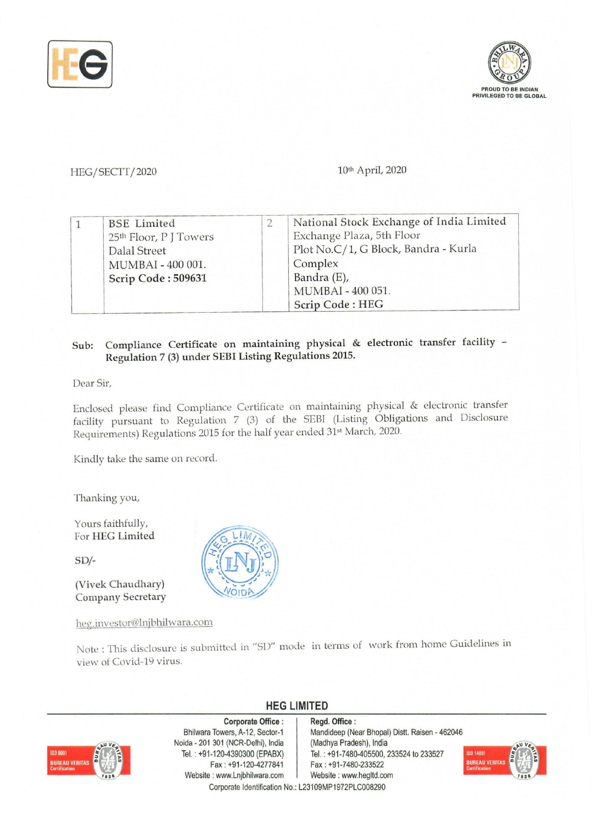



## HEG/SECTT/2020 10th April, 2020

|  |                        | National Stock Exchange of India Limited |
|--|------------------------|------------------------------------------|
|  | <b>BSE</b> Limited     |                                          |
|  | 25th Floor, P J Towers | Exchange Plaza, 5th Floor                |
|  | Dalal Street           | Plot No.C/1, G Block, Bandra - Kurla     |
|  | MUMBAI - 400 001.      | Complex                                  |
|  | Scrip Code: 509631     | Bandra (E),                              |
|  |                        | MUMBAI - 400 051.                        |
|  |                        | Scrip Code: HEG                          |

## Sub: Compliance Certificate on maintaining physical & electronic transfer facility - Regulation 7 (3) under SEBI Listing Regulations 2015.

Dear Sir,

Enclosed please find Compliance Certificate on maintaining physical & electronic transfer facility pursuant to Regulation 7 (3) of the SEBI (Listing Obligations and Disclosure Requirements) Regulations 2015 for the half year ended 31<sup>st</sup> March, 2020.

Kindly take the same on record.

Thanking you,

Yours faithfully, For HEG Limited

SD/-

(Vivek Chaudhary) Company Secretary

heg.investor@lnjbhilwara.com

Note: This disclosure is submitted in "51)" mode in terms of work from home Guidelines in view of Covid-19 virus.

**HEG LIMITED** 



**Corporate Office:**  Bhilwara Towers, A-12, Sector-1 Noida - 201 301 (NCR-Delhi), India Tel. : +91-120-4390300 (EPABX) Fax: +91-120-4277841 Website: www.Lnjbhilwara.com | Website: www.hegltd.com Corporate Identification No.: L23109MP1972PLC008290

Regd. **Office:**  Mandideep (Near Bhopal) Distt. Raisen - 462046 (Madhya Pradesh), India Tei. : +91-7480-405500, 233524 to 233527 Fax: +91-7480-233522